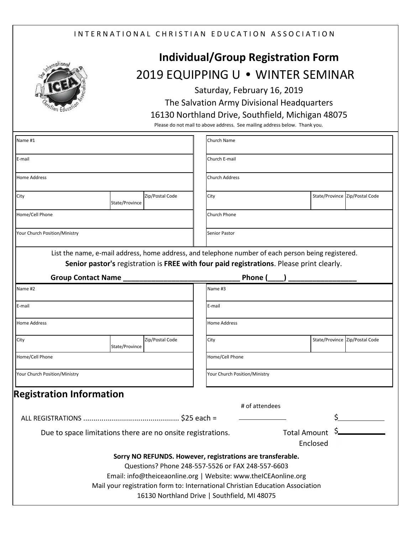## INTERNATIONAL CHRISTIAN EDUCATION ASSOCIATION



## **Individual/Group Registration Form** 2019 EQUIPPING U **•** WINTER SEMINAR

Saturday, February 16, 2019

The Salvation Army Divisional Headquarters

## 16130 Northland Drive, Southfield, Michigan 48075

Please do not mail to above address. See mailing address below. Thank you.

| Name #1                                                        |                |                 |  | Church Name                                                                                        |                     |  |                                |  |  |  |
|----------------------------------------------------------------|----------------|-----------------|--|----------------------------------------------------------------------------------------------------|---------------------|--|--------------------------------|--|--|--|
| E-mail                                                         |                |                 |  | Church E-mail                                                                                      |                     |  |                                |  |  |  |
| <b>Home Address</b>                                            |                |                 |  | <b>Church Address</b>                                                                              |                     |  |                                |  |  |  |
| City                                                           | State/Province | Zip/Postal Code |  | City                                                                                               |                     |  | State/Province Zip/Postal Code |  |  |  |
| Home/Cell Phone                                                |                |                 |  | <b>Church Phone</b>                                                                                |                     |  |                                |  |  |  |
| Your Church Position/Ministry                                  |                |                 |  | Senior Pastor                                                                                      |                     |  |                                |  |  |  |
|                                                                |                |                 |  | List the name, e-mail address, home address, and telephone number of each person being registered. |                     |  |                                |  |  |  |
|                                                                |                |                 |  | Senior pastor's registration is FREE with four paid registrations. Please print clearly.           |                     |  |                                |  |  |  |
| Group Contact Name __                                          |                |                 |  | Phone (                                                                                            |                     |  |                                |  |  |  |
| Name #2                                                        |                |                 |  | Name #3                                                                                            |                     |  |                                |  |  |  |
| E-mail                                                         |                |                 |  | E-mail                                                                                             |                     |  |                                |  |  |  |
| <b>Home Address</b>                                            |                |                 |  | <b>Home Address</b>                                                                                |                     |  |                                |  |  |  |
| City                                                           | State/Province | Zip/Postal Code |  | City                                                                                               |                     |  | State/Province Zip/Postal Code |  |  |  |
| Home/Cell Phone                                                |                |                 |  | Home/Cell Phone                                                                                    |                     |  |                                |  |  |  |
| Your Church Position/Ministry                                  |                |                 |  | Your Church Position/Ministry                                                                      |                     |  |                                |  |  |  |
| <b>Registration Information</b>                                |                |                 |  |                                                                                                    |                     |  |                                |  |  |  |
|                                                                | # of attendees |                 |  |                                                                                                    |                     |  |                                |  |  |  |
|                                                                |                |                 |  |                                                                                                    |                     |  |                                |  |  |  |
| Due to space limitations there are no onsite registrations.    |                |                 |  |                                                                                                    | <b>Total Amount</b> |  |                                |  |  |  |
| Enclosed                                                       |                |                 |  |                                                                                                    |                     |  |                                |  |  |  |
|                                                                |                |                 |  | Sorry NO REFUNDS. However, registrations are transferable.                                         |                     |  |                                |  |  |  |
|                                                                |                |                 |  | Questions? Phone 248-557-5526 or FAX 248-557-6603                                                  |                     |  |                                |  |  |  |
| Email: info@theiceaonline.org   Website: www.theICEAonline.org |                |                 |  |                                                                                                    |                     |  |                                |  |  |  |
|                                                                |                |                 |  | Mail your registration form to: International Christian Education Association                      |                     |  |                                |  |  |  |
|                                                                |                |                 |  | 16130 Northland Drive   Southfield, MI 48075                                                       |                     |  |                                |  |  |  |